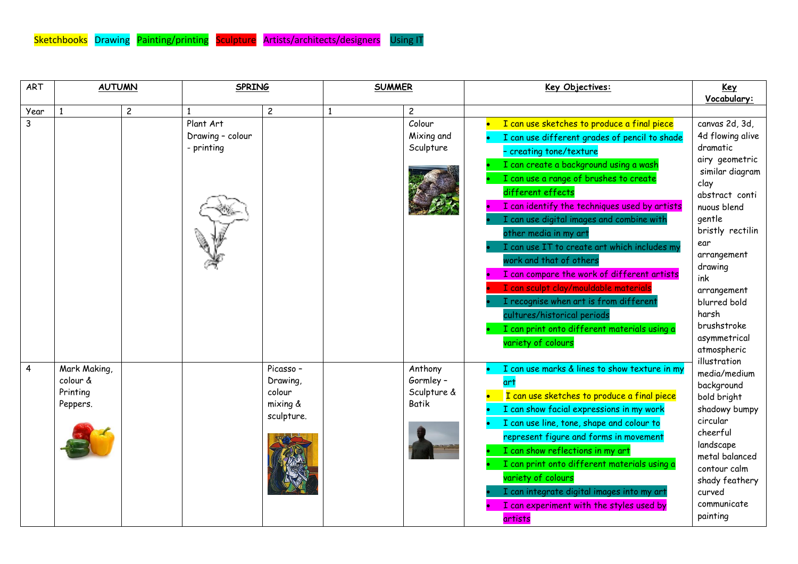| <b>ART</b> | <b>AUTUMN</b>                                    |                                             | <b>SPRING</b>                                             |              | <b>SUMMER</b>                               | Key Objectives:                                                                                                                                                                                                                                                                                                                                                                                                                                                                                                                                                                                                                                                           | Key<br>Vocabulary:                                                                                                                                                                                                                                                                                                                                                                                                                                                                                   |
|------------|--------------------------------------------------|---------------------------------------------|-----------------------------------------------------------|--------------|---------------------------------------------|---------------------------------------------------------------------------------------------------------------------------------------------------------------------------------------------------------------------------------------------------------------------------------------------------------------------------------------------------------------------------------------------------------------------------------------------------------------------------------------------------------------------------------------------------------------------------------------------------------------------------------------------------------------------------|------------------------------------------------------------------------------------------------------------------------------------------------------------------------------------------------------------------------------------------------------------------------------------------------------------------------------------------------------------------------------------------------------------------------------------------------------------------------------------------------------|
| Year       | $\overline{c}$<br>$\mathbf{1}$                   |                                             | $\overline{c}$                                            | $\mathbf{1}$ | $\overline{c}$                              |                                                                                                                                                                                                                                                                                                                                                                                                                                                                                                                                                                                                                                                                           |                                                                                                                                                                                                                                                                                                                                                                                                                                                                                                      |
| 3          |                                                  | Plant Art<br>Drawing - colour<br>- printing |                                                           |              | Colour<br>Mixing and<br>Sculpture           | I can use sketches to produce a final piece<br>I can use different grades of pencil to shade<br>- creating tone/texture<br>I can create a background using a wash<br>I can use a range of brushes to create<br>different effects<br>I can identify the techniques used by artists<br>I can use digital images and combine with<br>other media in my art<br>I can use IT to create art which includes my<br>work and that of others<br>I can compare the work of different artists<br>I can sculpt clay/mouldable materials<br>I recognise when art is from different<br>cultures/historical periods<br>I can print onto different materials using a<br>variety of colours | canvas 2d, 3d,<br>4d flowing alive<br>dramatic<br>airy geometric<br>similar diagram<br>clay<br>abstract conti<br>nuous blend<br>gentle<br>bristly rectilin<br>ear<br>arrangement<br>drawing<br>ink<br>arrangement<br>blurred bold<br>harsh<br>brushstroke<br>asymmetrical<br>atmospheric<br>illustration<br>media/medium<br>background<br>bold bright<br>shadowy bumpy<br>circular<br>cheerful<br>landscape<br>metal balanced<br>contour calm<br>shady feathery<br>curved<br>communicate<br>painting |
| 4          | Mark Making,<br>colour &<br>Printing<br>Peppers. |                                             | Picasso -<br>Drawing,<br>colour<br>mixing &<br>sculpture. |              | Anthony<br>Gormley-<br>Sculpture &<br>Batik | I can use marks & lines to show texture in my<br>I can use sketches to produce a final piece<br>I can show facial expressions in my work<br>I can use line, tone, shape and colour to<br>represent figure and forms in movement<br>I can show reflections in my art<br>I can print onto different materials using a<br>variety of colours<br>I can integrate digital images into my art<br>I can experiment with the styles used by<br>artists                                                                                                                                                                                                                            |                                                                                                                                                                                                                                                                                                                                                                                                                                                                                                      |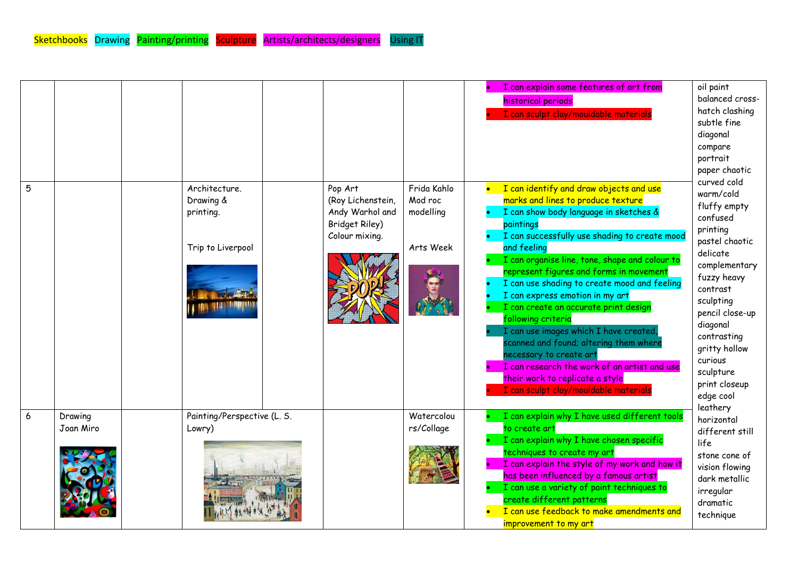| 5 |                      | Architecture.<br>Drawing &<br>printing.<br>Trip to Liverpool | Pop Art<br>(Roy Lichenstein,<br>Andy Warhol and<br>Bridget Riley)<br>Colour mixing. | Frida Kahlo<br>Mod roc<br>modelling<br>Arts Week | I can explain some features of art from<br>historical periods<br>I can sculpt clay/mouldable materials<br>I can identify and draw objects and use<br>marks and lines to produce texture<br>I can show body language in sketches &<br>paintings<br>I can successfully use shading to create mood<br>and feeling<br>I can organise line, tone, shape and colour to<br>represent figures and forms in movement<br>I can use shading to create mood and feeling<br>I can express emotion in my art<br>I can create an accurate print design<br>following criteria<br>I can use images which I have created,<br>scanned and found; altering them where<br>necessary to create art<br>I can research the work of an artist and use<br>their work to replicate a style<br>I can sculpt clay/mouldable materials | oil paint<br>balanced cross-<br>hatch clashing<br>subtle fine<br>diagonal<br>compare<br>portrait<br>paper chaotic<br>curved cold<br>warm/cold<br>fluffy empty<br>confused<br>printing<br>pastel chaotic<br>delicate<br>complementary<br>fuzzy heavy<br>contrast<br>sculpting<br>pencil close-up<br>diagonal<br>contrasting<br>gritty hollow<br>curious<br>sculpture<br>print closeup<br>edge cool |
|---|----------------------|--------------------------------------------------------------|-------------------------------------------------------------------------------------|--------------------------------------------------|----------------------------------------------------------------------------------------------------------------------------------------------------------------------------------------------------------------------------------------------------------------------------------------------------------------------------------------------------------------------------------------------------------------------------------------------------------------------------------------------------------------------------------------------------------------------------------------------------------------------------------------------------------------------------------------------------------------------------------------------------------------------------------------------------------|---------------------------------------------------------------------------------------------------------------------------------------------------------------------------------------------------------------------------------------------------------------------------------------------------------------------------------------------------------------------------------------------------|
| 6 | Drawing<br>Joan Miro | Painting/Perspective (L. S.<br>Lowry)                        |                                                                                     | Watercolou<br>rs/Collage                         | I can explain why I have used different tools<br>to create art<br>I can explain why I have chosen specific<br>techniques to create my art<br>I can explain the style of my work and how it<br>has been influenced by a famous artist<br>I can use a variety of paint techniques to<br>create different patterns<br>I can use feedback to make amendments and<br>improvement to my art                                                                                                                                                                                                                                                                                                                                                                                                                    | leathery<br>horizontal<br>different still<br>life<br>stone cone of<br>vision flowing<br>dark metallic<br>irregular<br>dramatic<br>technique                                                                                                                                                                                                                                                       |